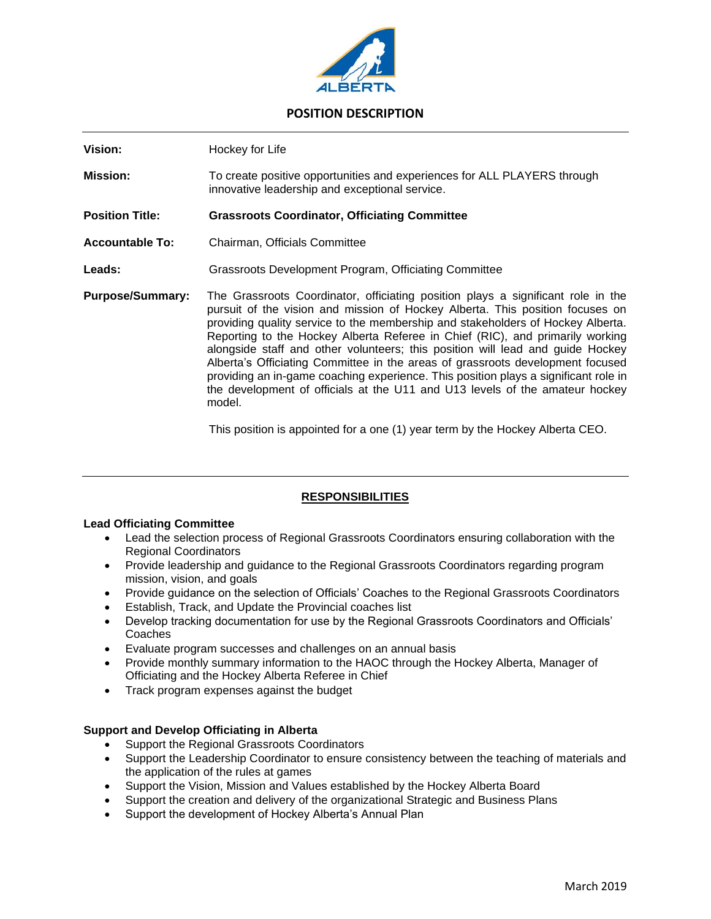

# **POSITION DESCRIPTION**

| Vision:                 | Hockey for Life                                                                                                                                                                                                                                                                                                                                                                                                                                                                                                                                                                                                                                                                            |
|-------------------------|--------------------------------------------------------------------------------------------------------------------------------------------------------------------------------------------------------------------------------------------------------------------------------------------------------------------------------------------------------------------------------------------------------------------------------------------------------------------------------------------------------------------------------------------------------------------------------------------------------------------------------------------------------------------------------------------|
|                         |                                                                                                                                                                                                                                                                                                                                                                                                                                                                                                                                                                                                                                                                                            |
| <b>Mission:</b>         | To create positive opportunities and experiences for ALL PLAYERS through<br>innovative leadership and exceptional service.                                                                                                                                                                                                                                                                                                                                                                                                                                                                                                                                                                 |
| <b>Position Title:</b>  | <b>Grassroots Coordinator, Officiating Committee</b>                                                                                                                                                                                                                                                                                                                                                                                                                                                                                                                                                                                                                                       |
| <b>Accountable To:</b>  | Chairman, Officials Committee                                                                                                                                                                                                                                                                                                                                                                                                                                                                                                                                                                                                                                                              |
| <b>Leads:</b>           | Grassroots Development Program, Officiating Committee                                                                                                                                                                                                                                                                                                                                                                                                                                                                                                                                                                                                                                      |
| <b>Purpose/Summary:</b> | The Grassroots Coordinator, officiating position plays a significant role in the<br>pursuit of the vision and mission of Hockey Alberta. This position focuses on<br>providing quality service to the membership and stakeholders of Hockey Alberta.<br>Reporting to the Hockey Alberta Referee in Chief (RIC), and primarily working<br>alongside staff and other volunteers; this position will lead and guide Hockey<br>Alberta's Officiating Committee in the areas of grassroots development focused<br>providing an in-game coaching experience. This position plays a significant role in<br>the development of officials at the U11 and U13 levels of the amateur hockey<br>model. |

This position is appointed for a one (1) year term by the Hockey Alberta CEO.

## **RESPONSIBILITIES**

#### **Lead Officiating Committee**

- Lead the selection process of Regional Grassroots Coordinators ensuring collaboration with the Regional Coordinators
- Provide leadership and guidance to the Regional Grassroots Coordinators regarding program mission, vision, and goals
- Provide guidance on the selection of Officials' Coaches to the Regional Grassroots Coordinators
- Establish, Track, and Update the Provincial coaches list
- Develop tracking documentation for use by the Regional Grassroots Coordinators and Officials' Coaches
- Evaluate program successes and challenges on an annual basis
- Provide monthly summary information to the HAOC through the Hockey Alberta, Manager of Officiating and the Hockey Alberta Referee in Chief
- Track program expenses against the budget

#### **Support and Develop Officiating in Alberta**

- Support the Regional Grassroots Coordinators
- Support the Leadership Coordinator to ensure consistency between the teaching of materials and the application of the rules at games
- Support the Vision, Mission and Values established by the Hockey Alberta Board
- Support the creation and delivery of the organizational Strategic and Business Plans
- Support the development of Hockey Alberta's Annual Plan